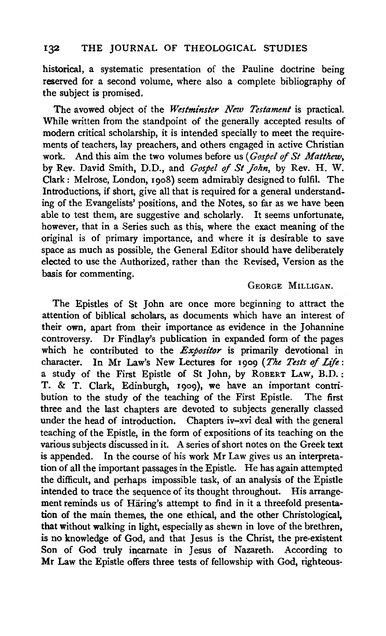historical, a systematic presentation of the Pauline doctrine being reserved for a second volume, where also a complete bibliography of the subject is promised.

The avowed object of the *Westminster New Testament* is practical. While written from the standpoint of the generally accepted results of modern critical scholarship, it is intended specially to meet the requirements of teachers, lay preachers, and others engaged in active Christian work. And this aim the two volumes before us *(Gospel of St Matthew,*  by Rev. David Smith, D.D., and *Gospel of St John,* by Rev. H. W. Clark: Melrose, London, 19o8) seem admirably designed to fulfil. The Introductions, if short, give all that is required for a general understanding of the Evangelists' positions, and the Notes, so far as we have been able to test them, are suggestive and scholarly. It seems unfortunate, however, that in a Series such as this, where the exact meaning of the original is of primary importance, and where it is desirable to save space as much as possible, the General Editor should have deliberately elected to use the Authorized, rather than the Revised, Version as the basis for commenting.

## GEORGE MILLIGAN.

The Epistles of St John are once more beginning to attract the attention of biblical scholars, as documents which have an interest of their own, apart from their importance as evidence in the Johannine controversy. Dr Findlay's publication in expanded form of the pages which he contributed to the *Expositor* is primarily devotional in character. In Mr Law's New Lectures for 1909 *(The Tests of Lift:*  a study of the First Epistle of St John, by RoBERT LAw, B.D.: T. & T. Clark, Edinburgh, 1909), we have an important contribution to the study of the teaching of the First Epistle. The first three and the last chapters are devoted to subjects generally classed under the head of introduction. Chapters iv-xvi deal with the general teaching of the Epistle, in the form of expositions of its teaching on the various subjects discussed in it. A series of short notes on the Greek text is appended. In the course of his work Mr Law gives us an interpretation of all the important passages in the Epistle. He has again attempted the difficult, and perhaps impossible task, of an analysis of the Epistle intended to trace the sequence of its thought throughout. His arrangement reminds us of Häring's attempt to find in it a threefold presentation of the main themes, the one ethical, and the other Christological, that without walking in light, especially as shewn in love of the brethren, is no knowledge of God, and that Jesus is the Christ, the pre-existent Son of God truly incarnate in Jesus of Nazareth. According to Mr Law the Epistle offers three tests of fellowship with God, righteous